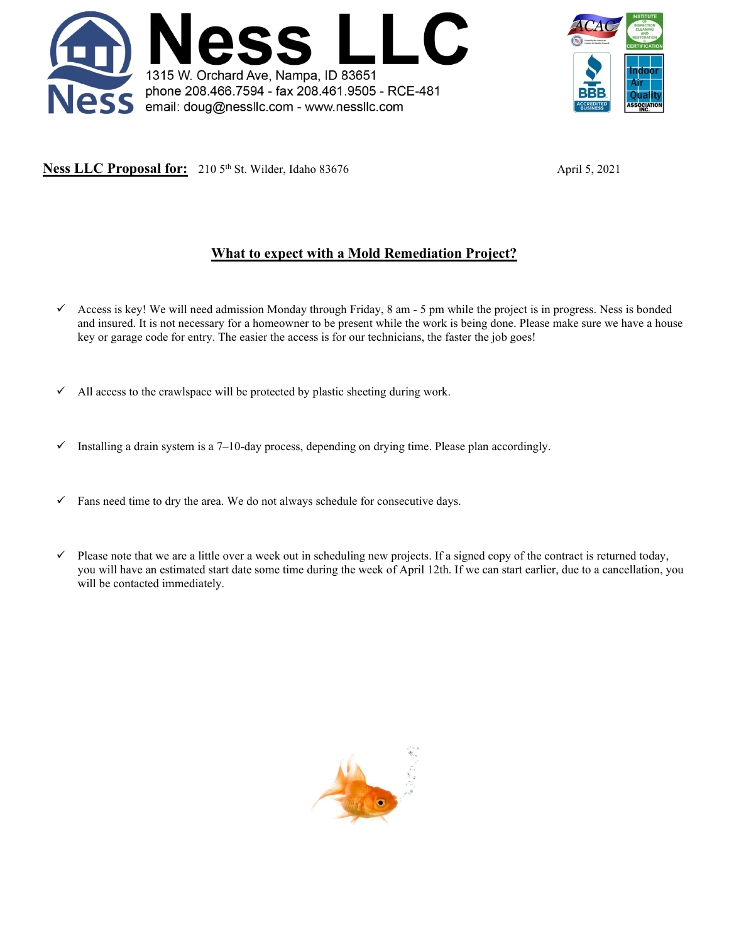



**Ness LLC Proposal for:** 210 5<sup>th</sup> St. Wilder, Idaho 83676 April 5, 2021

# **What to expect with a Mold Remediation Project?**

- $\checkmark$  Access is key! We will need admission Monday through Friday, 8 am 5 pm while the project is in progress. Ness is bonded and insured. It is not necessary for a homeowner to be present while the work is being done. Please make sure we have a house key or garage code for entry. The easier the access is for our technicians, the faster the job goes!
- $\checkmark$  All access to the crawlspace will be protected by plastic sheeting during work.
- Installing a drain system is a 7–10-day process, depending on drying time. Please plan accordingly.
- $\checkmark$  Fans need time to dry the area. We do not always schedule for consecutive days.
- $\checkmark$  Please note that we are a little over a week out in scheduling new projects. If a signed copy of the contract is returned today, you will have an estimated start date some time during the week of April 12th. If we can start earlier, due to a cancellation, you will be contacted immediately.

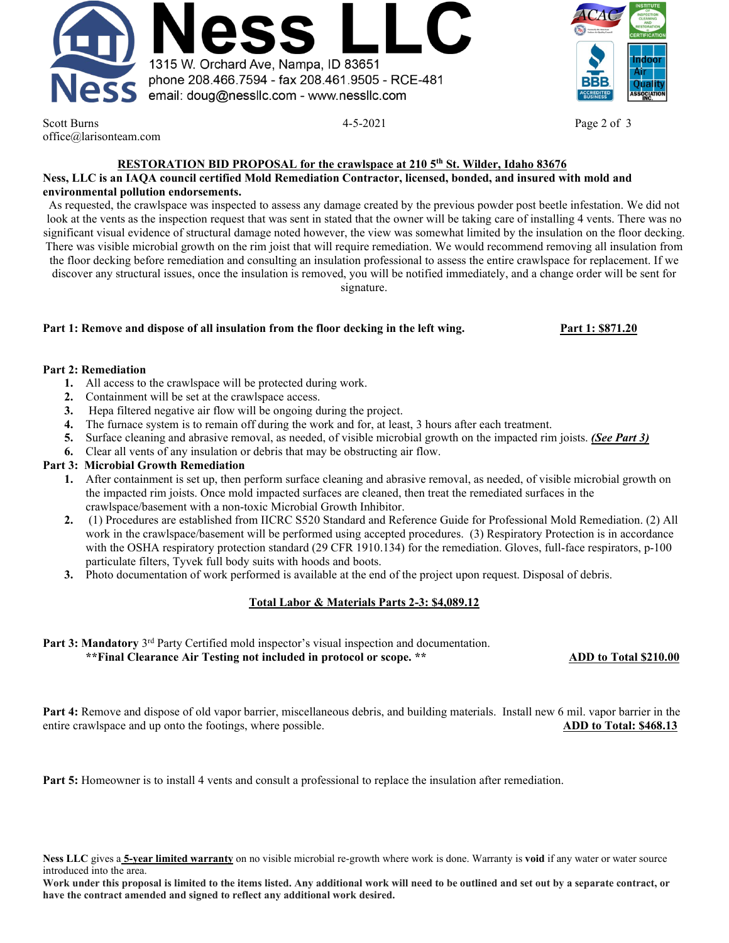



Scott Burns **Page 2 of 3** and 2 of 3 and 3 and 4-5-2021 **Page 2 of 3** office@larisonteam.com

## **RESTORATION BID PROPOSAL for the crawlspace at 210 5th St. Wilder, Idaho 83676**

#### **Ness, LLC is an IAQA council certified Mold Remediation Contractor, licensed, bonded, and insured with mold and environmental pollution endorsements.**

As requested, the crawlspace was inspected to assess any damage created by the previous powder post beetle infestation. We did not look at the vents as the inspection request that was sent in stated that the owner will be taking care of installing 4 vents. There was no significant visual evidence of structural damage noted however, the view was somewhat limited by the insulation on the floor decking. There was visible microbial growth on the rim joist that will require remediation. We would recommend removing all insulation from the floor decking before remediation and consulting an insulation professional to assess the entire crawlspace for replacement. If we discover any structural issues, once the insulation is removed, you will be notified immediately, and a change order will be sent for signature.

### **Part 1: Remove and dispose of all insulation from the floor decking in the left wing. Part 1: \$871.20**

#### **Part 2: Remediation**

- **1.** All access to the crawlspace will be protected during work.
- **2.** Containment will be set at the crawlspace access.
- **3.** Hepa filtered negative air flow will be ongoing during the project.
- **4.** The furnace system is to remain off during the work and for, at least, 3 hours after each treatment.
- **5.** Surface cleaning and abrasive removal, as needed, of visible microbial growth on the impacted rim joists. *(See Part 3)*
- **6.** Clear all vents of any insulation or debris that may be obstructing air flow.

#### **Part 3: Microbial Growth Remediation**

- **1.** After containment is set up, then perform surface cleaning and abrasive removal, as needed, of visible microbial growth on the impacted rim joists. Once mold impacted surfaces are cleaned, then treat the remediated surfaces in the crawlspace/basement with a non-toxic Microbial Growth Inhibitor.
- **2.** (1) Procedures are established from IICRC S520 Standard and Reference Guide for Professional Mold Remediation. (2) All work in the crawlspace/basement will be performed using accepted procedures. (3) Respiratory Protection is in accordance with the OSHA respiratory protection standard (29 CFR 1910.134) for the remediation. Gloves, full-face respirators, p-100 particulate filters, Tyvek full body suits with hoods and boots.
- **3.** Photo documentation of work performed is available at the end of the project upon request. Disposal of debris.

## **Total Labor & Materials Parts 2-3: \$4,089.12**

# **Part 3: Mandatory** 3rd Party Certified mold inspector's visual inspection and documentation.

#### **\*\*Final Clearance Air Testing not included in protocol or scope. \*\* ADD to Total \$210.00**

**Part 4:** Remove and dispose of old vapor barrier, miscellaneous debris, and building materials. Install new 6 mil. vapor barrier in the entire crawlspace and up onto the footings, where possible. **ADD to Total: \$468.13** 

**Part 5:** Homeowner is to install 4 vents and consult a professional to replace the insulation after remediation.

**Ness LLC** gives a **5-year limited warranty** on no visible microbial re-growth where work is done. Warranty is **void** if any water or water source introduced into the area.

**Work under this proposal is limited to the items listed. Any additional work will need to be outlined and set out by a separate contract, or have the contract amended and signed to reflect any additional work desired.**